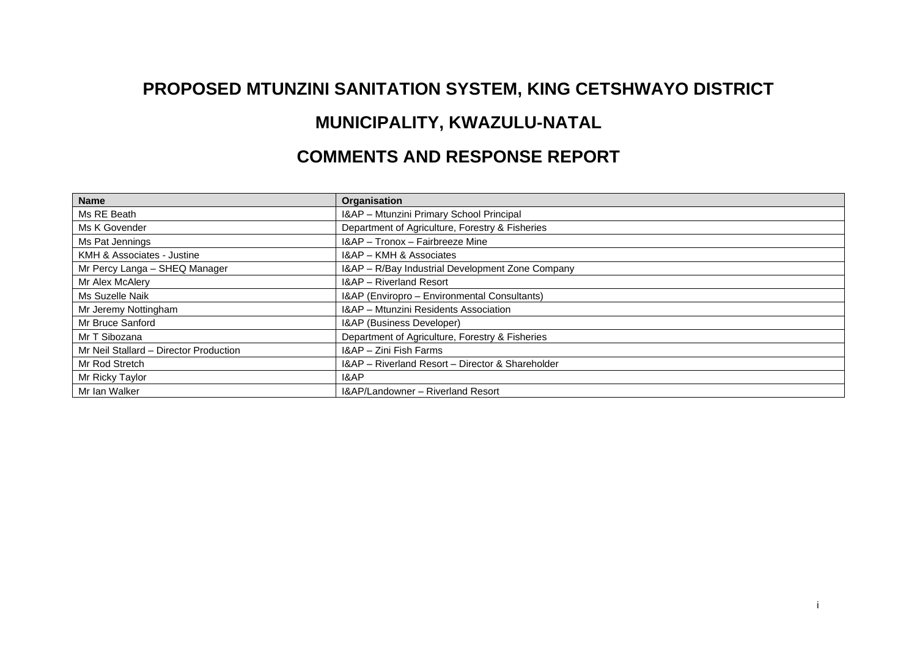## **PROPOSED MTUNZINI SANITATION SYSTEM, KING CETSHWAYO DISTRICT**

## **MUNICIPALITY, KWAZULU-NATAL**

## **COMMENTS AND RESPONSE REPORT**

| <b>Name</b>                            | Organisation                                     |
|----------------------------------------|--------------------------------------------------|
| Ms RE Beath                            | I&AP - Mtunzini Primary School Principal         |
| Ms K Govender                          | Department of Agriculture, Forestry & Fisheries  |
| Ms Pat Jennings                        | I&AP - Tronox - Fairbreeze Mine                  |
| KMH & Associates - Justine             | I&AP - KMH & Associates                          |
| Mr Percy Langa - SHEQ Manager          | I&AP - R/Bay Industrial Development Zone Company |
| Mr Alex McAlery                        | I&AP - Riverland Resort                          |
| Ms Suzelle Naik                        | I&AP (Enviropro - Environmental Consultants)     |
| Mr Jeremy Nottingham                   | I&AP - Mtunzini Residents Association            |
| Mr Bruce Sanford                       | I&AP (Business Developer)                        |
| Mr T Sibozana                          | Department of Agriculture, Forestry & Fisheries  |
| Mr Neil Stallard - Director Production | I&AP - Zini Fish Farms                           |
| Mr Rod Stretch                         | I&AP - Riverland Resort - Director & Shareholder |
| Mr Ricky Taylor                        | 1&AP                                             |
| Mr Ian Walker                          | I&AP/Landowner - Riverland Resort                |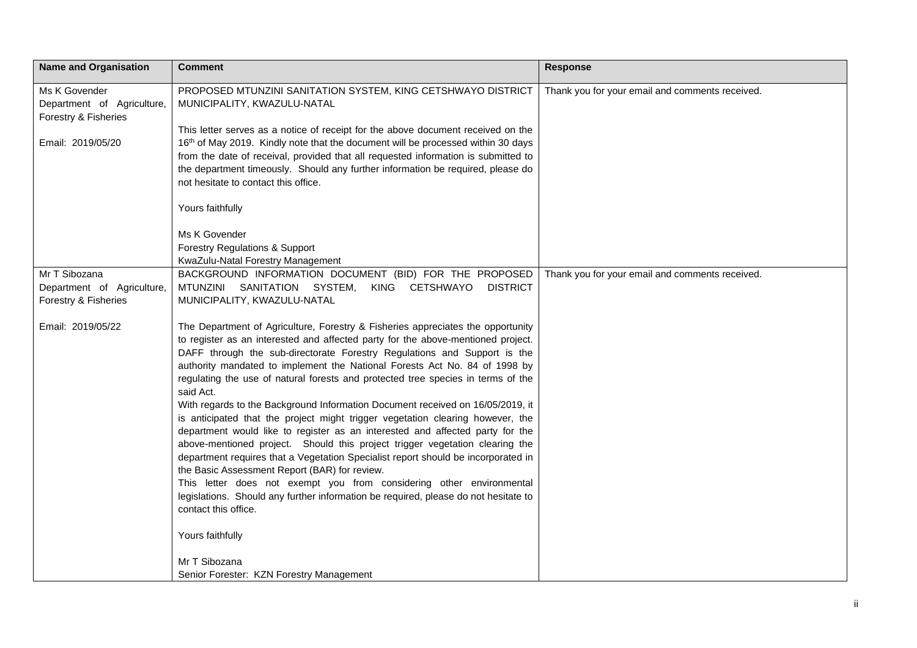| <b>Name and Organisation</b>                                        | <b>Comment</b>                                                                                                                                                                                                                                                                                                                                                                                                                                                                                                                                                                                                                                                                                                                                                                                                                                                                                                                                                                                                                                                                                   | <b>Response</b>                                 |
|---------------------------------------------------------------------|--------------------------------------------------------------------------------------------------------------------------------------------------------------------------------------------------------------------------------------------------------------------------------------------------------------------------------------------------------------------------------------------------------------------------------------------------------------------------------------------------------------------------------------------------------------------------------------------------------------------------------------------------------------------------------------------------------------------------------------------------------------------------------------------------------------------------------------------------------------------------------------------------------------------------------------------------------------------------------------------------------------------------------------------------------------------------------------------------|-------------------------------------------------|
| Ms K Govender<br>Department of Agriculture,<br>Forestry & Fisheries | PROPOSED MTUNZINI SANITATION SYSTEM, KING CETSHWAYO DISTRICT<br>MUNICIPALITY, KWAZULU-NATAL<br>This letter serves as a notice of receipt for the above document received on the                                                                                                                                                                                                                                                                                                                                                                                                                                                                                                                                                                                                                                                                                                                                                                                                                                                                                                                  | Thank you for your email and comments received. |
| Email: 2019/05/20                                                   | 16th of May 2019. Kindly note that the document will be processed within 30 days<br>from the date of receival, provided that all requested information is submitted to<br>the department timeously. Should any further information be required, please do<br>not hesitate to contact this office.                                                                                                                                                                                                                                                                                                                                                                                                                                                                                                                                                                                                                                                                                                                                                                                                |                                                 |
|                                                                     | Yours faithfully                                                                                                                                                                                                                                                                                                                                                                                                                                                                                                                                                                                                                                                                                                                                                                                                                                                                                                                                                                                                                                                                                 |                                                 |
|                                                                     | Ms K Govender<br>Forestry Regulations & Support<br>KwaZulu-Natal Forestry Management                                                                                                                                                                                                                                                                                                                                                                                                                                                                                                                                                                                                                                                                                                                                                                                                                                                                                                                                                                                                             |                                                 |
| Mr T Sibozana                                                       | BACKGROUND INFORMATION DOCUMENT (BID) FOR THE PROPOSED                                                                                                                                                                                                                                                                                                                                                                                                                                                                                                                                                                                                                                                                                                                                                                                                                                                                                                                                                                                                                                           | Thank you for your email and comments received. |
| Department of Agriculture,                                          | MTUNZINI SANITATION SYSTEM, KING CETSHWAYO<br><b>DISTRICT</b>                                                                                                                                                                                                                                                                                                                                                                                                                                                                                                                                                                                                                                                                                                                                                                                                                                                                                                                                                                                                                                    |                                                 |
| Forestry & Fisheries                                                | MUNICIPALITY, KWAZULU-NATAL                                                                                                                                                                                                                                                                                                                                                                                                                                                                                                                                                                                                                                                                                                                                                                                                                                                                                                                                                                                                                                                                      |                                                 |
| Email: 2019/05/22                                                   | The Department of Agriculture, Forestry & Fisheries appreciates the opportunity<br>to register as an interested and affected party for the above-mentioned project.<br>DAFF through the sub-directorate Forestry Regulations and Support is the<br>authority mandated to implement the National Forests Act No. 84 of 1998 by<br>regulating the use of natural forests and protected tree species in terms of the<br>said Act.<br>With regards to the Background Information Document received on 16/05/2019, it<br>is anticipated that the project might trigger vegetation clearing however, the<br>department would like to register as an interested and affected party for the<br>above-mentioned project. Should this project trigger vegetation clearing the<br>department requires that a Vegetation Specialist report should be incorporated in<br>the Basic Assessment Report (BAR) for review.<br>This letter does not exempt you from considering other environmental<br>legislations. Should any further information be required, please do not hesitate to<br>contact this office. |                                                 |
|                                                                     | Yours faithfully                                                                                                                                                                                                                                                                                                                                                                                                                                                                                                                                                                                                                                                                                                                                                                                                                                                                                                                                                                                                                                                                                 |                                                 |
|                                                                     | Mr T Sibozana                                                                                                                                                                                                                                                                                                                                                                                                                                                                                                                                                                                                                                                                                                                                                                                                                                                                                                                                                                                                                                                                                    |                                                 |
|                                                                     | Senior Forester: KZN Forestry Management                                                                                                                                                                                                                                                                                                                                                                                                                                                                                                                                                                                                                                                                                                                                                                                                                                                                                                                                                                                                                                                         |                                                 |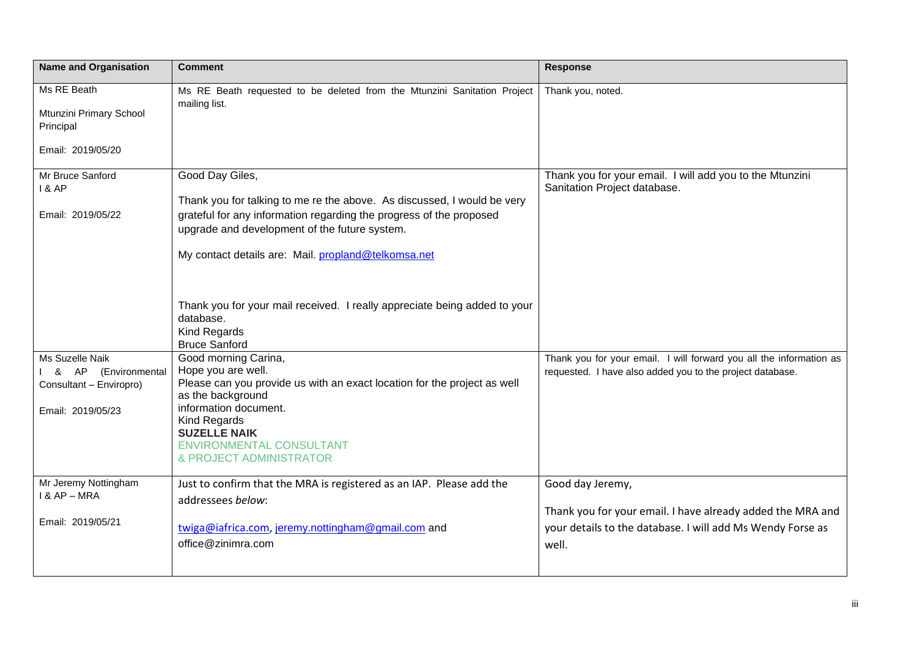| <b>Name and Organisation</b>                                                              | <b>Comment</b>                                                                                                                                                                                                                                                                                                                                                                                                                                                   | Response                                                                                                                                                                                                                     |
|-------------------------------------------------------------------------------------------|------------------------------------------------------------------------------------------------------------------------------------------------------------------------------------------------------------------------------------------------------------------------------------------------------------------------------------------------------------------------------------------------------------------------------------------------------------------|------------------------------------------------------------------------------------------------------------------------------------------------------------------------------------------------------------------------------|
| Ms RE Beath<br>Mtunzini Primary School<br>Principal<br>Email: 2019/05/20                  | Ms RE Beath requested to be deleted from the Mtunzini Sanitation Project<br>mailing list.                                                                                                                                                                                                                                                                                                                                                                        | Thank you, noted.                                                                                                                                                                                                            |
| Mr Bruce Sanford<br>1 & AP<br>Email: 2019/05/22<br>Ms Suzelle Naik<br>& AP (Environmental | Good Day Giles,<br>Thank you for talking to me re the above. As discussed, I would be very<br>grateful for any information regarding the progress of the proposed<br>upgrade and development of the future system.<br>My contact details are: Mail. propland@telkomsa.net<br>Thank you for your mail received. I really appreciate being added to your<br>database.<br><b>Kind Regards</b><br><b>Bruce Sanford</b><br>Good morning Carina,<br>Hope you are well. | Thank you for your email. I will add you to the Mtunzini<br>Sanitation Project database.<br>Thank you for your email. I will forward you all the information as<br>requested. I have also added you to the project database. |
| Consultant - Enviropro)<br>Email: 2019/05/23                                              | Please can you provide us with an exact location for the project as well<br>as the background<br>information document.<br>Kind Regards<br><b>SUZELLE NAIK</b><br><b>ENVIRONMENTAL CONSULTANT</b><br>& PROJECT ADMINISTRATOR                                                                                                                                                                                                                                      |                                                                                                                                                                                                                              |
| Mr Jeremy Nottingham<br>I & AP - MRA<br>Email: 2019/05/21                                 | Just to confirm that the MRA is registered as an IAP. Please add the<br>addressees below:<br>twiga@iafrica.com, jeremy.nottingham@gmail.com and<br>office@zinimra.com                                                                                                                                                                                                                                                                                            | Good day Jeremy,<br>Thank you for your email. I have already added the MRA and<br>your details to the database. I will add Ms Wendy Forse as<br>well.                                                                        |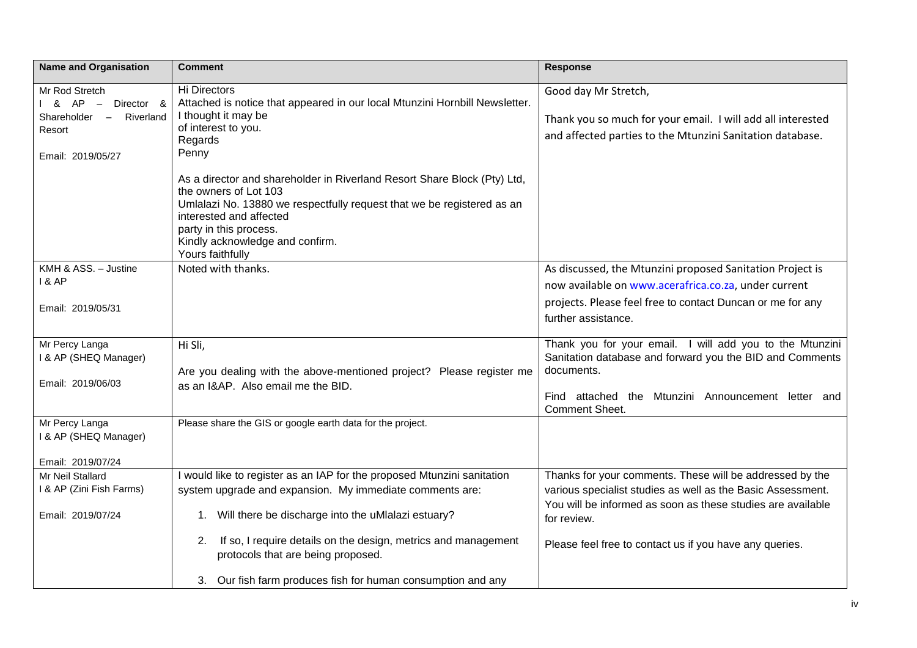| <b>Name and Organisation</b>                                                                          | <b>Comment</b>                                                                                                                                                                                                                                                                          | <b>Response</b>                                                                                                                                  |
|-------------------------------------------------------------------------------------------------------|-----------------------------------------------------------------------------------------------------------------------------------------------------------------------------------------------------------------------------------------------------------------------------------------|--------------------------------------------------------------------------------------------------------------------------------------------------|
| Mr Rod Stretch<br>& AP –<br>Director &<br>Riverland<br>Shareholder $-$<br>Resort<br>Email: 2019/05/27 | Hi Directors<br>Attached is notice that appeared in our local Mtunzini Hornbill Newsletter.<br>I thought it may be<br>of interest to you.<br>Regards<br>Penny                                                                                                                           | Good day Mr Stretch,<br>Thank you so much for your email. I will add all interested<br>and affected parties to the Mtunzini Sanitation database. |
|                                                                                                       | As a director and shareholder in Riverland Resort Share Block (Pty) Ltd,<br>the owners of Lot 103<br>Umlalazi No. 13880 we respectfully request that we be registered as an<br>interested and affected<br>party in this process.<br>Kindly acknowledge and confirm.<br>Yours faithfully |                                                                                                                                                  |
| KMH & ASS. - Justine                                                                                  | Noted with thanks.                                                                                                                                                                                                                                                                      | As discussed, the Mtunzini proposed Sanitation Project is                                                                                        |
| <b>1&amp; AP</b>                                                                                      |                                                                                                                                                                                                                                                                                         | now available on www.acerafrica.co.za, under current                                                                                             |
| Email: 2019/05/31                                                                                     |                                                                                                                                                                                                                                                                                         | projects. Please feel free to contact Duncan or me for any<br>further assistance.                                                                |
| Mr Percy Langa<br>I & AP (SHEQ Manager)                                                               | Hi Sli,<br>Are you dealing with the above-mentioned project? Please register me                                                                                                                                                                                                         | Thank you for your email. I will add you to the Mtunzini<br>Sanitation database and forward you the BID and Comments<br>documents.               |
| Email: 2019/06/03                                                                                     | as an I&AP. Also email me the BID.                                                                                                                                                                                                                                                      | Find attached the Mtunzini Announcement letter and<br><b>Comment Sheet.</b>                                                                      |
| Mr Percy Langa<br>I & AP (SHEQ Manager)                                                               | Please share the GIS or google earth data for the project.                                                                                                                                                                                                                              |                                                                                                                                                  |
| Email: 2019/07/24<br>Mr Neil Stallard                                                                 | I would like to register as an IAP for the proposed Mtunzini sanitation                                                                                                                                                                                                                 | Thanks for your comments. These will be addressed by the                                                                                         |
| I & AP (Zini Fish Farms)                                                                              | system upgrade and expansion. My immediate comments are:                                                                                                                                                                                                                                | various specialist studies as well as the Basic Assessment.                                                                                      |
| Email: 2019/07/24                                                                                     | 1. Will there be discharge into the uMlalazi estuary?                                                                                                                                                                                                                                   | You will be informed as soon as these studies are available<br>for review.                                                                       |
|                                                                                                       | If so, I require details on the design, metrics and management<br>2.<br>protocols that are being proposed.                                                                                                                                                                              | Please feel free to contact us if you have any queries.                                                                                          |
|                                                                                                       | 3. Our fish farm produces fish for human consumption and any                                                                                                                                                                                                                            |                                                                                                                                                  |